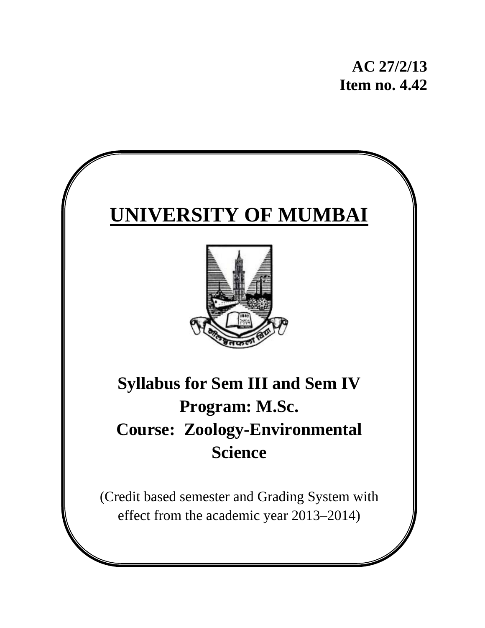



# **Syllabus for Sem III and Sem IV Program: M.Sc. Course: Zoology-Environmental Science**

(Credit based semester and Grading System with effect from the academic year 2013–2014)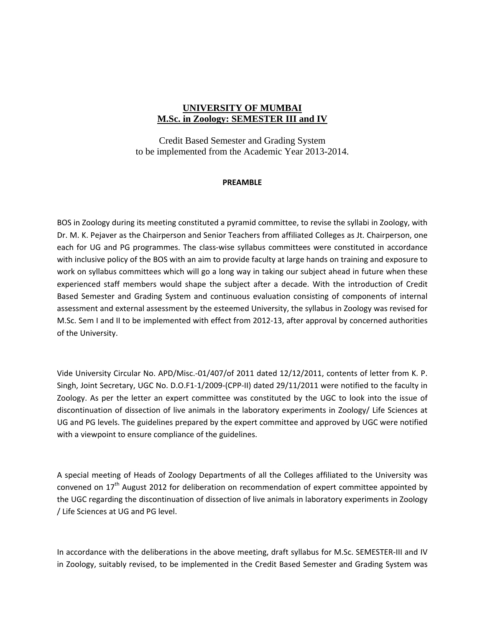#### **UNIVERSITY OF MUMBAI M.Sc. in Zoology: SEMESTER III and IV**

Credit Based Semester and Grading System to be implemented from the Academic Year 2013-2014.

#### **PREAMBLE**

BOS in Zoology during its meeting constituted a pyramid committee, to revise the syllabi in Zoology, with Dr. M. K. Pejaver as the Chairperson and Senior Teachers from affiliated Colleges as Jt. Chairperson, one each for UG and PG programmes. The class-wise syllabus committees were constituted in accordance with inclusive policy of the BOS with an aim to provide faculty at large hands on training and exposure to work on syllabus committees which will go a long way in taking our subject ahead in future when these experienced staff members would shape the subject after a decade. With the introduction of Credit Based Semester and Grading System and continuous evaluation consisting of components of internal assessment and external assessment by the esteemed University, the syllabus in Zoology was revised for M.Sc. Sem I and II to be implemented with effect from 2012‐13, after approval by concerned authorities of the University.

Vide University Circular No. APD/Misc.‐01/407/of 2011 dated 12/12/2011, contents of letter from K. P. Singh, Joint Secretary, UGC No. D.O.F1‐1/2009‐(CPP‐II) dated 29/11/2011 were notified to the faculty in Zoology. As per the letter an expert committee was constituted by the UGC to look into the issue of discontinuation of dissection of live animals in the laboratory experiments in Zoology/ Life Sciences at UG and PG levels. The guidelines prepared by the expert committee and approved by UGC were notified with a viewpoint to ensure compliance of the guidelines.

A special meeting of Heads of Zoology Departments of all the Colleges affiliated to the University was convened on 17<sup>th</sup> August 2012 for deliberation on recommendation of expert committee appointed by the UGC regarding the discontinuation of dissection of live animals in laboratory experiments in Zoology / Life Sciences at UG and PG level.

In accordance with the deliberations in the above meeting, draft syllabus for M.Sc. SEMESTER‐III and IV in Zoology, suitably revised, to be implemented in the Credit Based Semester and Grading System was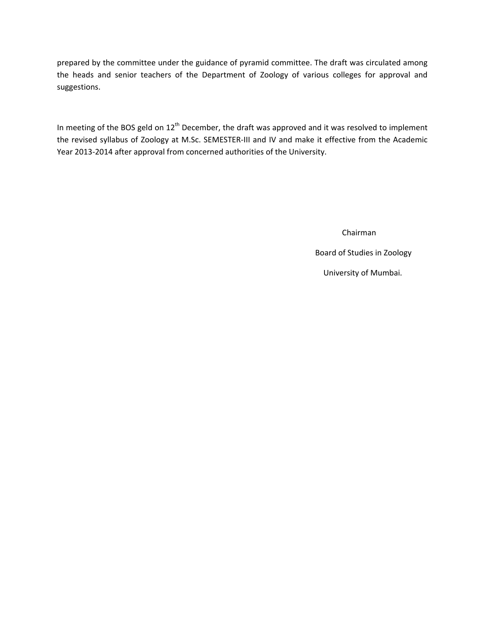prepared by the committee under the guidance of pyramid committee. The draft was circulated among the heads and senior teachers of the Department of Zoology of various colleges for approval and suggestions.

In meeting of the BOS geld on 12<sup>th</sup> December, the draft was approved and it was resolved to implement the revised syllabus of Zoology at M.Sc. SEMESTER‐III and IV and make it effective from the Academic Year 2013‐2014 after approval from concerned authorities of the University.

Chairman

Board of Studies in Zoology

University of Mumbai.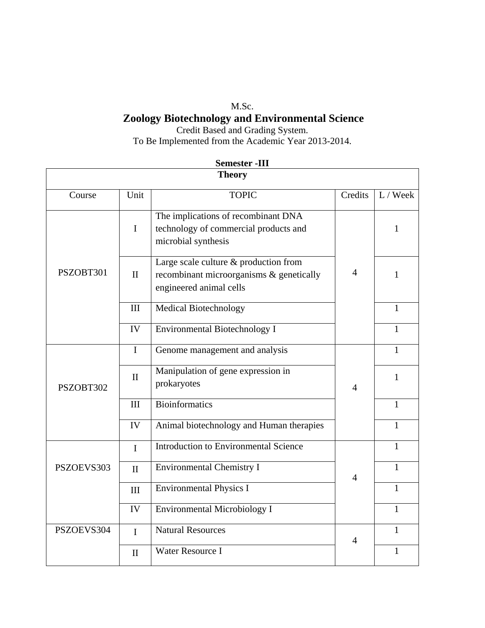## M.Sc. **Zoology Biotechnology and Environmental Science**

Credit Based and Grading System. To Be Implemented from the Academic Year 2013-2014.

|            |              | əemester -111<br><b>Theory</b>                                                                               |                |              |
|------------|--------------|--------------------------------------------------------------------------------------------------------------|----------------|--------------|
|            |              |                                                                                                              |                |              |
| Course     | Unit         | <b>TOPIC</b>                                                                                                 | Credits        | $L /$ Week   |
| PSZOBT301  | $\mathbf I$  | The implications of recombinant DNA<br>technology of commercial products and<br>microbial synthesis          |                | 1            |
|            | $\mathbf{I}$ | Large scale culture & production from<br>recombinant microorganisms & genetically<br>engineered animal cells | 4              | 1            |
|            | III          | <b>Medical Biotechnology</b>                                                                                 |                | $\mathbf{1}$ |
|            | IV           | <b>Environmental Biotechnology I</b>                                                                         |                | 1            |
| PSZOBT302  | $\mathbf I$  | Genome management and analysis                                                                               |                | 1            |
|            | $\mathbf{I}$ | Manipulation of gene expression in<br>prokaryotes                                                            | $\overline{4}$ | 1            |
|            | III          | <b>Bioinformatics</b>                                                                                        |                | 1            |
|            | IV           | Animal biotechnology and Human therapies                                                                     |                | $\mathbf{1}$ |
| PSZOEVS303 | $\mathbf{I}$ | Introduction to Environmental Science                                                                        |                | $\mathbf{1}$ |
|            | $\mathbf{I}$ | <b>Environmental Chemistry I</b>                                                                             | $\overline{4}$ | $\mathbf{1}$ |
|            | III          | <b>Environmental Physics I</b>                                                                               |                | $\mathbf{1}$ |
|            | IV           | <b>Environmental Microbiology I</b>                                                                          |                | $\mathbf{1}$ |
| PSZOEVS304 | $\mathbf I$  | <b>Natural Resources</b>                                                                                     | $\overline{4}$ | $\mathbf{1}$ |
|            | $\mathbf{I}$ | <b>Water Resource I</b>                                                                                      |                | 1            |

## **Semester -III**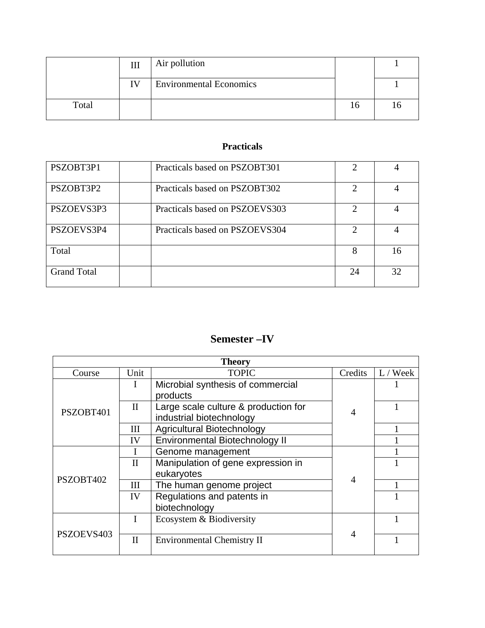|       | III | Air pollution                  |     |  |
|-------|-----|--------------------------------|-----|--|
|       | IV  | <b>Environmental Economics</b> |     |  |
| Total |     |                                | l O |  |

## **Practicals**

| PSZOBT3P1          | Practicals based on PSZOBT301  |                             |    |
|--------------------|--------------------------------|-----------------------------|----|
| PSZOBT3P2          | Practicals based on PSZOBT302  | $\mathcal{D}_{\mathcal{A}}$ |    |
| PSZOEVS3P3         | Practicals based on PSZOEVS303 | ∍                           |    |
| PSZOEVS3P4         | Practicals based on PSZOEVS304 | $\mathcal{D}$               |    |
| Total              |                                | 8                           | 16 |
| <b>Grand Total</b> |                                | 24                          | 32 |

## **Semester –IV**

| <b>Theory</b> |              |                                       |         |          |  |
|---------------|--------------|---------------------------------------|---------|----------|--|
| Course        | Unit         | <b>TOPIC</b>                          | Credits | L / Week |  |
| PSZOBT401     |              | Microbial synthesis of commercial     |         |          |  |
|               |              | products                              |         |          |  |
|               | $\mathbf{I}$ | Large scale culture & production for  |         |          |  |
|               |              | industrial biotechnology              |         |          |  |
|               | Ш            | <b>Agricultural Biotechnology</b>     |         |          |  |
|               | IV           | <b>Environmental Biotechnology II</b> |         |          |  |
| PSZOBT402     |              | Genome management                     |         |          |  |
|               | $\mathbf{I}$ | Manipulation of gene expression in    |         |          |  |
|               |              | eukaryotes                            | 4       |          |  |
|               | Ш            | The human genome project              |         |          |  |
|               | IV           | Regulations and patents in            |         |          |  |
|               |              | biotechnology                         |         |          |  |
| PSZOEVS403    |              | Ecosystem & Biodiversity              |         |          |  |
|               |              |                                       | 4       |          |  |
|               | $\mathbf{I}$ | <b>Environmental Chemistry II</b>     |         |          |  |
|               |              |                                       |         |          |  |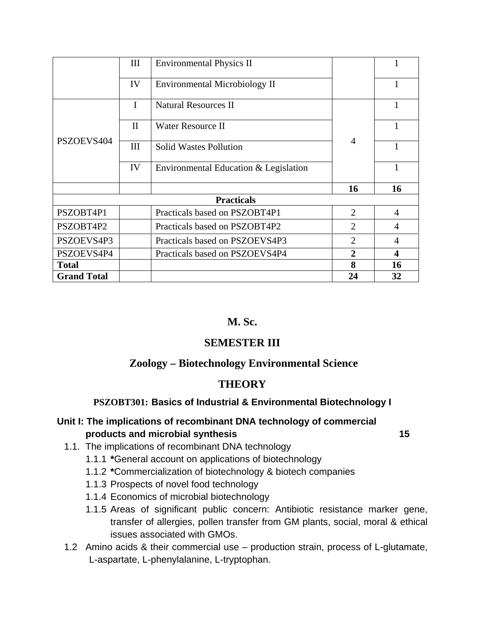|                    | III          | <b>Environmental Physics II</b>       |                |    |  |
|--------------------|--------------|---------------------------------------|----------------|----|--|
|                    | IV           | <b>Environmental Microbiology II</b>  |                | 1  |  |
| PSZOEVS404         | $\mathbf I$  | <b>Natural Resources II</b>           |                | 1  |  |
|                    | $\mathbf{I}$ | Water Resource II                     |                |    |  |
|                    | III          | <b>Solid Wastes Pollution</b>         | $\overline{4}$ |    |  |
|                    | IV           | Environmental Education & Legislation |                | 1  |  |
|                    |              |                                       | 16             | 16 |  |
| <b>Practicals</b>  |              |                                       |                |    |  |
| PSZOBT4P1          |              | Practicals based on PSZOBT4P1         | $\overline{2}$ | 4  |  |
| PSZOBT4P2          |              | Practicals based on PSZOBT4P2         | $\overline{2}$ | 4  |  |
| PSZOEVS4P3         |              | Practicals based on PSZOEVS4P3        | $\overline{2}$ | 4  |  |
| PSZOEVS4P4         |              | Practicals based on PSZOEVS4P4        | 2              | 4  |  |
| <b>Total</b>       |              |                                       | 8              | 16 |  |
| <b>Grand Total</b> |              |                                       | 24             | 32 |  |

## **M. Sc.**

## **SEMESTER III**

## **Zoology – Biotechnology Environmental Science**

## **THEORY**

#### **PSZOBT301: Basics of Industrial & Environmental Biotechnology I**

## **Unit I: The implications of recombinant DNA technology of commercial products and microbial synthesis 15**

- 1.1. The implications of recombinant DNA technology
	- 1.1.1 **\***General account on applications of biotechnology
	- 1.1.2 **\***Commercialization of biotechnology & biotech companies
	- 1.1.3 Prospects of novel food technology
	- 1.1.4 Economics of microbial biotechnology
	- 1.1.5 Areas of significant public concern: Antibiotic resistance marker gene, transfer of allergies, pollen transfer from GM plants, social, moral & ethical issues associated with GMOs.
- 1.2 Amino acids & their commercial use production strain, process of L-glutamate, L-aspartate, L-phenylalanine, L-tryptophan.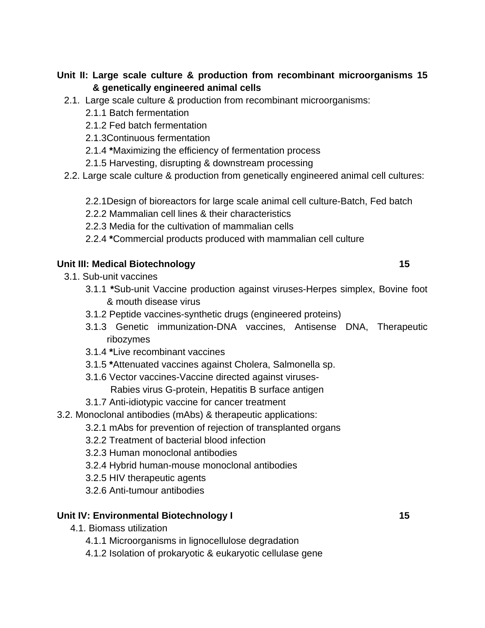## **Unit II: Large scale culture & production from recombinant microorganisms 15 & genetically engineered animal cells**

- 2.1. Large scale culture & production from recombinant microorganisms:
	- 2.1.1 Batch fermentation
	- 2.1.2 Fed batch fermentation
	- 2.1.3Continuous fermentation
	- 2.1.4 **\***Maximizing the efficiency of fermentation process
	- 2.1.5 Harvesting, disrupting & downstream processing
- 2.2. Large scale culture & production from genetically engineered animal cell cultures:
	- 2.2.1Design of bioreactors for large scale animal cell culture-Batch, Fed batch
	- 2.2.2 Mammalian cell lines & their characteristics
	- 2.2.3 Media for the cultivation of mammalian cells
	- 2.2.4 **\***Commercial products produced with mammalian cell culture

#### **Unit III: Medical Biotechnology 15 and 15 and 16 and 16 and 16 and 16 and 16 and 16 and 16 and 16 and 16 and 16 and 16 and 16 and 16 and 16 and 16 and 16 and 16 and 16 and 16 and 16 and 16 and 16 and 16 and 16 and 16 and**

- 3.1. Sub-unit vaccines
	- 3.1.1 **\***Sub-unit Vaccine production against viruses-Herpes simplex, Bovine foot & mouth disease virus
	- 3.1.2 Peptide vaccines-synthetic drugs (engineered proteins)
	- 3.1.3 Genetic immunization-DNA vaccines, Antisense DNA, Therapeutic ribozymes
	- 3.1.4 **\***Live recombinant vaccines
	- 3.1.5 **\***Attenuated vaccines against Cholera, Salmonella sp.
	- 3.1.6 Vector vaccines-Vaccine directed against viruses-
	- Rabies virus G-protein, Hepatitis B surface antigen
	- 3.1.7 Anti-idiotypic vaccine for cancer treatment
- 3.2. Monoclonal antibodies (mAbs) & therapeutic applications:
	- 3.2.1 mAbs for prevention of rejection of transplanted organs
	- 3.2.2 Treatment of bacterial blood infection
	- 3.2.3 Human monoclonal antibodies
	- 3.2.4 Hybrid human-mouse monoclonal antibodies
	- 3.2.5 HIV therapeutic agents
	- 3.2.6 Anti-tumour antibodies

#### **Unit IV: Environmental Biotechnology I 15 and 15 and 15 and 15 and 15 and 15 and 15 and 15 and 15 and 15 and 15 and 16 and 16 and 16 and 16 and 16 and 16 and 16 and 16 and 16 and 16 and 16 and 16 and 16 and 16 and 16 and**

- 4.1. Biomass utilization
	- 4.1.1 Microorganisms in lignocellulose degradation
	- 4.1.2 Isolation of prokaryotic & eukaryotic cellulase gene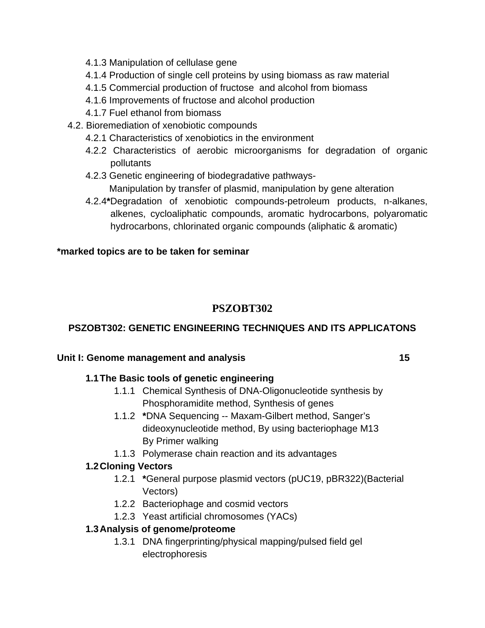- 4.1.3 Manipulation of cellulase gene
- 4.1.4 Production of single cell proteins by using biomass as raw material
- 4.1.5 Commercial production of fructose and alcohol from biomass
- 4.1.6 Improvements of fructose and alcohol production
- 4.1.7 Fuel ethanol from biomass
- 4.2. Bioremediation of xenobiotic compounds
	- 4.2.1 Characteristics of xenobiotics in the environment
	- 4.2.2 Characteristics of aerobic microorganisms for degradation of organic pollutants
	- 4.2.3 Genetic engineering of biodegradative pathways- Manipulation by transfer of plasmid, manipulation by gene alteration
	- 4.2.4**\***Degradation of xenobiotic compounds-petroleum products, n-alkanes, alkenes, cycloaliphatic compounds, aromatic hydrocarbons, polyaromatic hydrocarbons, chlorinated organic compounds (aliphatic & aromatic)

## **\*marked topics are to be taken for seminar**

## **PSZOBT302**

## **PSZOBT302: GENETIC ENGINEERING TECHNIQUES AND ITS APPLICATONS**

## Unit I: Genome management and analysis **15 15**

## **1.1 The Basic tools of genetic engineering**

- 1.1.1 Chemical Synthesis of DNA-Oligonucleotide synthesis by Phosphoramidite method, Synthesis of genes
- 1.1.2 **\***DNA Sequencing -- Maxam-Gilbert method, Sanger's dideoxynucleotide method, By using bacteriophage M13 By Primer walking
- 1.1.3 Polymerase chain reaction and its advantages

## **1.2 Cloning Vectors**

- 1.2.1 **\***General purpose plasmid vectors (pUC19, pBR322)(Bacterial Vectors)
- 1.2.2 Bacteriophage and cosmid vectors
- 1.2.3 Yeast artificial chromosomes (YACs)

## **1.3 Analysis of genome/proteome**

1.3.1 DNA fingerprinting/physical mapping/pulsed field gel electrophoresis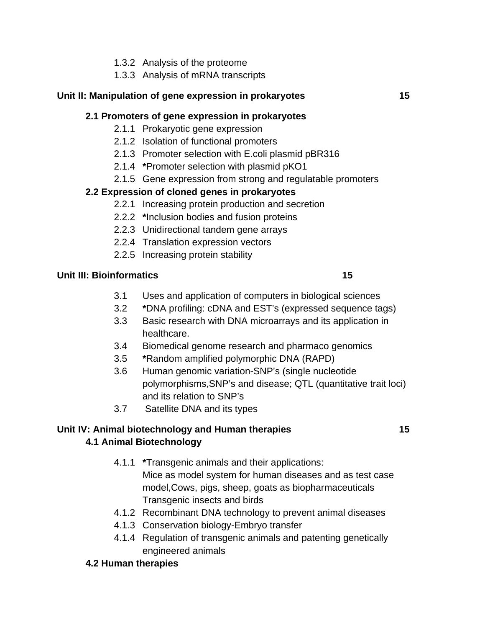- 1.3.2 Analysis of the proteome
- 1.3.3 Analysis of mRNA transcripts

#### **Unit II: Manipulation of gene expression in prokaryotes 15**

#### **2.1 Promoters of gene expression in prokaryotes**

- 2.1.1 Prokaryotic gene expression
- 2.1.2 Isolation of functional promoters
- 2.1.3 Promoter selection with E.coli plasmid pBR316
- 2.1.4 **\***Promoter selection with plasmid pKO1
- 2.1.5 Gene expression from strong and regulatable promoters

## **2.2 Expression of cloned genes in prokaryotes**

- 2.2.1 Increasing protein production and secretion
- 2.2.2 **\***Inclusion bodies and fusion proteins
- 2.2.3 Unidirectional tandem gene arrays
- 2.2.4 Translation expression vectors
- 2.2.5 Increasing protein stability

#### **Unit III: Bioinformatics 15 and 15 and 16 and 16 and 16 and 16 and 16 and 16 and 16 and 16 and 16 and 16 and 16 and 16 and 16 and 16 and 16 and 16 and 16 and 16 and 16 and 16 and 16 and 16 and 16 and 16 and 16 and 16 and**

- 3.1 Uses and application of computers in biological sciences
- 3.2 **\***DNA profiling: cDNA and EST's (expressed sequence tags)
- 3.3 Basic research with DNA microarrays and its application in healthcare.
- 3.4 Biomedical genome research and pharmaco genomics
- 3.5 **\***Random amplified polymorphic DNA (RAPD)
- 3.6 Human genomic variation-SNP's (single nucleotide polymorphisms,SNP's and disease; QTL (quantitative trait loci) and its relation to SNP's
- 3.7 Satellite DNA and its types

#### **Unit IV: Animal biotechnology and Human therapies 15 4.1 Animal Biotechnology**

- 4.1.1 **\***Transgenic animals and their applications: Mice as model system for human diseases and as test case model,Cows, pigs, sheep, goats as biopharmaceuticals Transgenic insects and birds
- 4.1.2 Recombinant DNA technology to prevent animal diseases
- 4.1.3 Conservation biology-Embryo transfer
- 4.1.4 Regulation of transgenic animals and patenting genetically engineered animals
- **4.2 Human therapies**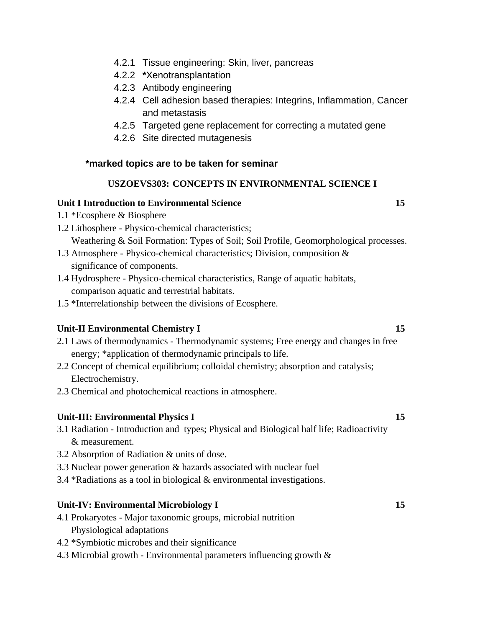- 4.2.1 Tissue engineering: Skin, liver, pancreas
- 4.2.2 **\***Xenotransplantation
- 4.2.3 Antibody engineering
- 4.2.4 Cell adhesion based therapies: Integrins, Inflammation, Cancer and metastasis
- 4.2.5 Targeted gene replacement for correcting a mutated gene
- 4.2.6 Site directed mutagenesis

#### **\*marked topics are to be taken for seminar**

#### **USZOEVS303: CONCEPTS IN ENVIRONMENTAL SCIENCE I**

#### **Unit I Introduction to Environmental Science 15**

- 1.1 \*Ecosphere & Biosphere
- 1.2 Lithosphere Physico-chemical characteristics; Weathering & Soil Formation: Types of Soil; Soil Profile, Geomorphological processes.
- 1.3 Atmosphere Physico-chemical characteristics; Division, composition & significance of components.
- 1.4 Hydrosphere Physico-chemical characteristics, Range of aquatic habitats, comparison aquatic and terrestrial habitats.
- 1.5 \*Interrelationship between the divisions of Ecosphere.

#### **Unit-II Environmental Chemistry I 15**

- 2.1 Laws of thermodynamics Thermodynamic systems; Free energy and changes in free energy; \*application of thermodynamic principals to life.
- 2.2 Concept of chemical equilibrium; colloidal chemistry; absorption and catalysis; Electrochemistry.
- 2.3 Chemical and photochemical reactions in atmosphere.

#### **Unit-III: Environmental Physics I** 15

- 3.1 Radiation Introduction and types; Physical and Biological half life; Radioactivity & measurement.
- 3.2 Absorption of Radiation & units of dose.
- 3.3 Nuclear power generation & hazards associated with nuclear fuel
- 3.4 \*Radiations as a tool in biological & environmental investigations.

#### **Unit-IV: Environmental Microbiology I** 15

- 4.1 Prokaryotes Major taxonomic groups, microbial nutrition Physiological adaptations
- 4.2 \*Symbiotic microbes and their significance
- 4.3 Microbial growth Environmental parameters influencing growth &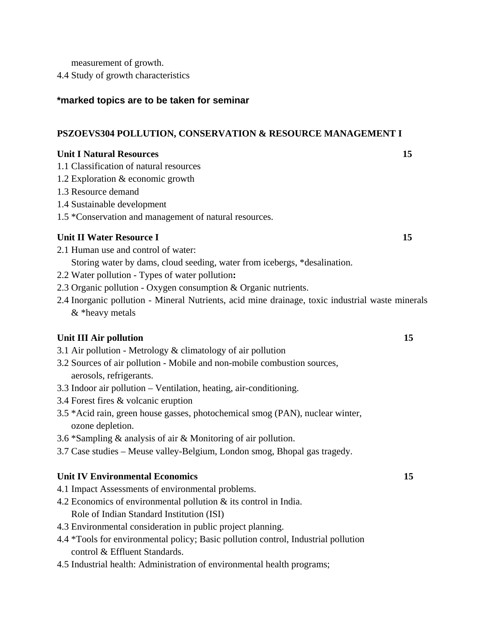measurement of growth.

4.4 Study of growth characteristics

#### **\*marked topics are to be taken for seminar**

#### **PSZOEVS304 POLLUTION, CONSERVATION & RESOURCE MANAGEMENT I**

#### **Unit I Natural Resources 15**

- 1.1 Classification of natural resources
- 1.2 Exploration & economic growth
- 1.3 Resource demand
- 1.4 Sustainable development
- 1.5 \*Conservation and management of natural resources.

#### **Unit II Water Resource I 15**

- 2.1 Human use and control of water:
	- Storing water by dams, cloud seeding, water from icebergs, \*desalination.
- 2.2 Water pollution Types of water pollution**:**
- 2.3 Organic pollution Oxygen consumption & Organic nutrients.
- 2.4 Inorganic pollution Mineral Nutrients, acid mine drainage, toxic industrial waste minerals & \*heavy metals

#### **Unit III Air pollution** 15

- 3.1 Air pollution Metrology & climatology of air pollution
- 3.2 Sources of air pollution Mobile and non-mobile combustion sources, aerosols, refrigerants.
- 3.3 Indoor air pollution Ventilation, heating, air-conditioning.
- 3.4 Forest fires & volcanic eruption
- 3.5 \*Acid rain, green house gasses, photochemical smog (PAN), nuclear winter, ozone depletion.
- 3.6 \*Sampling & analysis of air & Monitoring of air pollution.
- 3.7 Case studies Meuse valley-Belgium, London smog, Bhopal gas tragedy.

#### **Unit IV Environmental Economics** 15

- 4.1 Impact Assessments of environmental problems.
- 4.2 Economics of environmental pollution & its control in India. Role of Indian Standard Institution (ISI)
- 4.3 Environmental consideration in public project planning.
- 4.4 \*Tools for environmental policy; Basic pollution control, Industrial pollution control & Effluent Standards.
- 4.5 Industrial health: Administration of environmental health programs;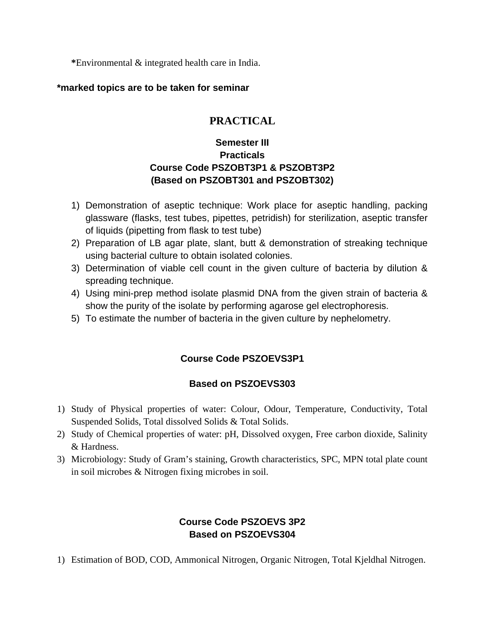**\***Environmental & integrated health care in India.

#### **\*marked topics are to be taken for seminar**

## **PRACTICAL**

## **Semester III Practicals Course Code PSZOBT3P1 & PSZOBT3P2 (Based on PSZOBT301 and PSZOBT302)**

- 1) Demonstration of aseptic technique: Work place for aseptic handling, packing glassware (flasks, test tubes, pipettes, petridish) for sterilization, aseptic transfer of liquids (pipetting from flask to test tube)
- 2) Preparation of LB agar plate, slant, butt & demonstration of streaking technique using bacterial culture to obtain isolated colonies.
- 3) Determination of viable cell count in the given culture of bacteria by dilution & spreading technique.
- 4) Using mini-prep method isolate plasmid DNA from the given strain of bacteria & show the purity of the isolate by performing agarose gel electrophoresis.
- 5) To estimate the number of bacteria in the given culture by nephelometry.

## **Course Code PSZOEVS3P1**

## **Based on PSZOEVS303**

- 1) Study of Physical properties of water: Colour, Odour, Temperature, Conductivity, Total Suspended Solids, Total dissolved Solids & Total Solids.
- 2) Study of Chemical properties of water: pH, Dissolved oxygen, Free carbon dioxide, Salinity & Hardness.
- 3) Microbiology: Study of Gram's staining, Growth characteristics, SPC, MPN total plate count in soil microbes & Nitrogen fixing microbes in soil.

## **Course Code PSZOEVS 3P2 Based on PSZOEVS304**

1) Estimation of BOD, COD, Ammonical Nitrogen, Organic Nitrogen, Total Kjeldhal Nitrogen.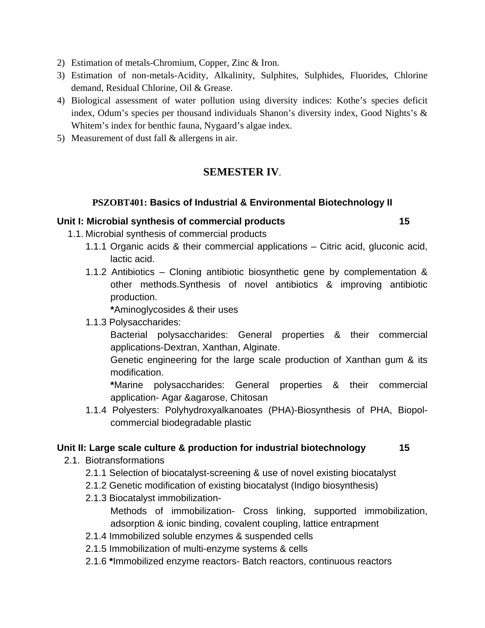- 2) Estimation of metals-Chromium, Copper, Zinc & Iron.
- 3) Estimation of non-metals-Acidity, Alkalinity, Sulphites, Sulphides, Fluorides, Chlorine demand, Residual Chlorine, Oil & Grease.
- 4) Biological assessment of water pollution using diversity indices: Kothe's species deficit index, Odum's species per thousand individuals Shanon's diversity index, Good Nights's & Whitem's index for benthic fauna, Nygaard's algae index.
- 5) Measurement of dust fall & allergens in air.

## **SEMESTER IV**.

#### **PSZOBT401: Basics of Industrial & Environmental Biotechnology II**

#### **Unit I: Microbial synthesis of commercial products 15**

- 1.1. Microbial synthesis of commercial products
	- 1.1.1 Organic acids & their commercial applications Citric acid, gluconic acid, lactic acid.
	- 1.1.2 Antibiotics Cloning antibiotic biosynthetic gene by complementation & other methods.Synthesis of novel antibiotics & improving antibiotic production.

**\***Aminoglycosides & their uses

1.1.3 Polysaccharides:

 Bacterial polysaccharides: General properties & their commercial applications-Dextran, Xanthan, Alginate.

 Genetic engineering for the large scale production of Xanthan gum & its modification.

**\***Marine polysaccharides: General properties & their commercial application- Agar &agarose, Chitosan

1.1.4 Polyesters: Polyhydroxyalkanoates (PHA)-Biosynthesis of PHA, Biopolcommercial biodegradable plastic

#### **Unit II: Large scale culture & production for industrial biotechnology 15**

- 2.1. Biotransformations
	- 2.1.1 Selection of biocatalyst-screening & use of novel existing biocatalyst
	- 2.1.2 Genetic modification of existing biocatalyst (Indigo biosynthesis)
	- 2.1.3 Biocatalyst immobilization-

 Methods of immobilization- Cross linking, supported immobilization, adsorption & ionic binding, covalent coupling, lattice entrapment

- 2.1.4 Immobilized soluble enzymes & suspended cells
- 2.1.5 Immobilization of multi-enzyme systems & cells
- 2.1.6 **\***Immobilized enzyme reactors- Batch reactors, continuous reactors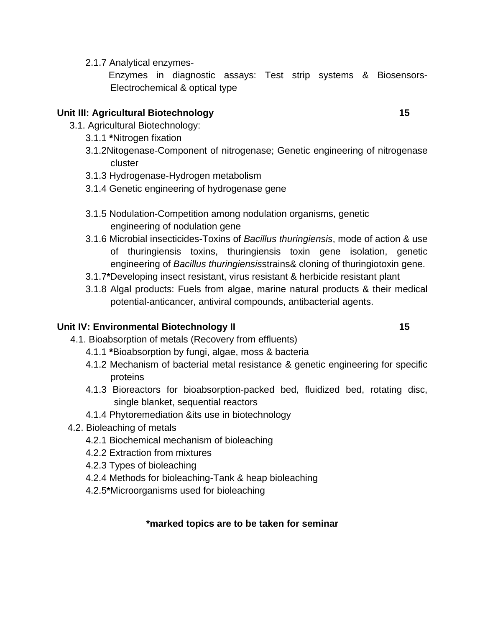2.1.7 Analytical enzymes-

 Enzymes in diagnostic assays: Test strip systems & Biosensors-Electrochemical & optical type

## **Unit III: Agricultural Biotechnology 15 and 15 and 16 and 16 and 16 and 16 and 16 and 16 and 16 and 16 and 16 and 16 and 16 and 16 and 16 and 16 and 16 and 16 and 16 and 16 and 16 and 16 and 16 and 16 and 16 and 16 and 16**

- 3.1. Agricultural Biotechnology:
	- 3.1.1 **\***Nitrogen fixation
	- 3.1.2Nitogenase-Component of nitrogenase; Genetic engineering of nitrogenase cluster
	- 3.1.3 Hydrogenase-Hydrogen metabolism
	- 3.1.4 Genetic engineering of hydrogenase gene
	- 3.1.5 Nodulation-Competition among nodulation organisms, genetic engineering of nodulation gene
	- 3.1.6 Microbial insecticides-Toxins of *Bacillus thuringiensis*, mode of action & use of thuringiensis toxins, thuringiensis toxin gene isolation, genetic engineering of *Bacillus thuringiensis*strains& cloning of thuringiotoxin gene.
	- 3.1.7**\***Developing insect resistant, virus resistant & herbicide resistant plant
	- 3.1.8 Algal products: Fuels from algae, marine natural products & their medical potential-anticancer, antiviral compounds, antibacterial agents.

## **Unit IV: Environmental Biotechnology II** 15

- 4.1. Bioabsorption of metals (Recovery from effluents)
	- 4.1.1 **\***Bioabsorption by fungi, algae, moss & bacteria
	- 4.1.2 Mechanism of bacterial metal resistance & genetic engineering for specific proteins
	- 4.1.3 Bioreactors for bioabsorption-packed bed, fluidized bed, rotating disc, single blanket, sequential reactors
	- 4.1.4 Phytoremediation &its use in biotechnology
- 4.2. Bioleaching of metals
	- 4.2.1 Biochemical mechanism of bioleaching
	- 4.2.2 Extraction from mixtures
	- 4.2.3 Types of bioleaching
	- 4.2.4 Methods for bioleaching-Tank & heap bioleaching
	- 4.2.5**\***Microorganisms used for bioleaching

## **\*marked topics are to be taken for seminar**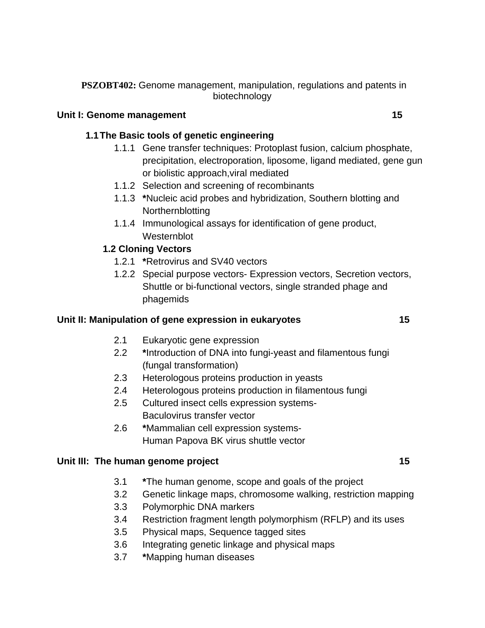#### Unit I: Genome management 15

## **1.1 The Basic tools of genetic engineering**

- 1.1.1 Gene transfer techniques: Protoplast fusion, calcium phosphate, precipitation, electroporation, liposome, ligand mediated, gene gun or biolistic approach,viral mediated
- 1.1.2 Selection and screening of recombinants
- 1.1.3 **\***Nucleic acid probes and hybridization, Southern blotting and Northernblotting
- 1.1.4 Immunological assays for identification of gene product, Westernblot

## **1.2 Cloning Vectors**

- 1.2.1 **\***Retrovirus and SV40 vectors
- 1.2.2 Special purpose vectors- Expression vectors, Secretion vectors, Shuttle or bi-functional vectors, single stranded phage and phagemids

## **Unit II: Manipulation of gene expression in eukaryotes 15**

- 2.1 Eukaryotic gene expression
- 2.2 **\***Introduction of DNA into fungi-yeast and filamentous fungi (fungal transformation)
- 2.3 Heterologous proteins production in yeasts
- 2.4 Heterologous proteins production in filamentous fungi
- 2.5 Cultured insect cells expression systems-Baculovirus transfer vector
- 2.6 **\***Mammalian cell expression systems- Human Papova BK virus shuttle vector

## Unit III: The human genome project **15**

- 3.1 **\***The human genome, scope and goals of the project
- 3.2 Genetic linkage maps, chromosome walking, restriction mapping
- 3.3 Polymorphic DNA markers
- 3.4 Restriction fragment length polymorphism (RFLP) and its uses
- 3.5 Physical maps, Sequence tagged sites
- 3.6 Integrating genetic linkage and physical maps
- 3.7 **\***Mapping human diseases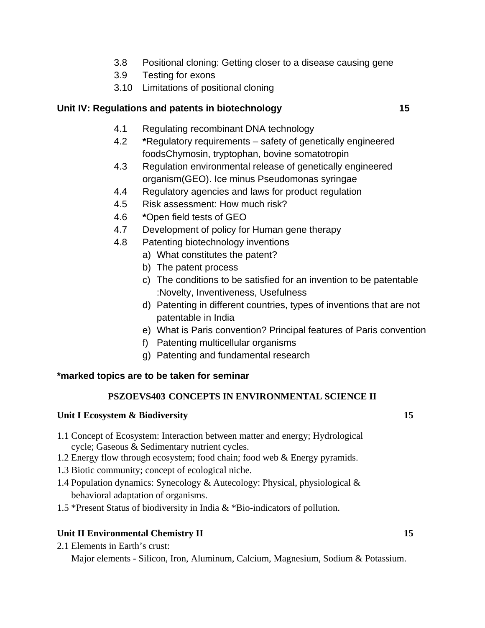- 3.8 Positional cloning: Getting closer to a disease causing gene
- 3.9 Testing for exons
- 3.10 Limitations of positional cloning

#### **Unit IV: Regulations and patents in biotechnology 15**

- 4.1 Regulating recombinant DNA technology
- 4.2 **\***Regulatory requirements safety of genetically engineered foodsChymosin, tryptophan, bovine somatotropin
- 4.3 Regulation environmental release of genetically engineered organism(GEO). Ice minus Pseudomonas syringae
- 4.4 Regulatory agencies and laws for product regulation
- 4.5 Risk assessment: How much risk?
- 4.6 **\***Open field tests of GEO
- 4.7 Development of policy for Human gene therapy
- 4.8 Patenting biotechnology inventions
	- a) What constitutes the patent?
	- b) The patent process
	- c) The conditions to be satisfied for an invention to be patentable :Novelty, Inventiveness, Usefulness
	- d) Patenting in different countries, types of inventions that are not patentable in India
	- e) What is Paris convention? Principal features of Paris convention
	- f) Patenting multicellular organisms
	- g) Patenting and fundamental research

#### **\*marked topics are to be taken for seminar**

#### **PSZOEVS403 CONCEPTS IN ENVIRONMENTAL SCIENCE II**

#### **Unit I Ecosystem & Biodiversity** 15

- 1.1 Concept of Ecosystem: Interaction between matter and energy; Hydrological cycle; Gaseous & Sedimentary nutrient cycles.
- 1.2 Energy flow through ecosystem; food chain; food web & Energy pyramids.
- 1.3 Biotic community; concept of ecological niche.
- 1.4 Population dynamics: Synecology & Autecology: Physical, physiological & behavioral adaptation of organisms.
- 1.5 \*Present Status of biodiversity in India & \*Bio-indicators of pollution.

#### **Unit II Environmental Chemistry II** 15

2.1 Elements in Earth's crust:

Major elements - Silicon, Iron, Aluminum, Calcium, Magnesium, Sodium & Potassium.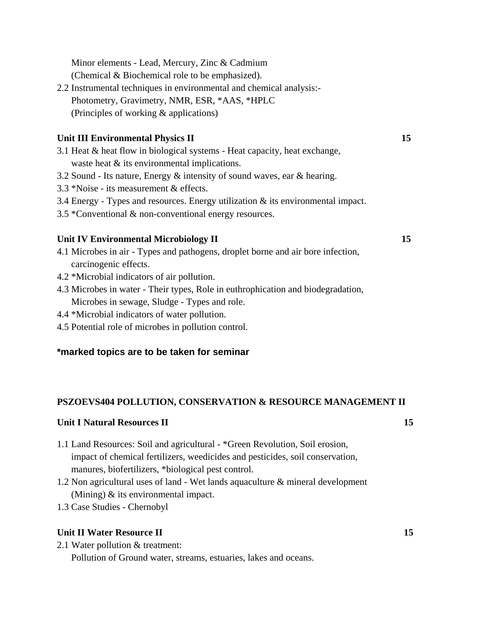Minor elements - Lead, Mercury, Zinc & Cadmium

(Chemical & Biochemical role to be emphasized).

2.2 Instrumental techniques in environmental and chemical analysis:- Photometry, Gravimetry, NMR, ESR, \*AAS, \*HPLC (Principles of working & applications)

## **Unit III Environmental Physics II 15**

- 3.1 Heat & heat flow in biological systems Heat capacity, heat exchange, waste heat  $&$  its environmental implications.
- 3.2 Sound Its nature, Energy & intensity of sound waves, ear & hearing.
- 3.3 \*Noise its measurement & effects.
- 3.4 Energy Types and resources. Energy utilization & its environmental impact.
- 3.5 \*Conventional & non-conventional energy resources.

## Unit IV Environmental Microbiology II **15**

- 4.1 Microbes in air Types and pathogens, droplet borne and air bore infection, carcinogenic effects.
- 4.2 \*Microbial indicators of air pollution.
- 4.3 Microbes in water Their types, Role in euthrophication and biodegradation, Microbes in sewage, Sludge - Types and role.
- 4.4 \*Microbial indicators of water pollution.
- 4.5 Potential role of microbes in pollution control.

## **\*marked topics are to be taken for seminar**

## **PSZOEVS404 POLLUTION, CONSERVATION & RESOURCE MANAGEMENT II**

## **Unit I Natural Resources II** 15

- 1.1 Land Resources: Soil and agricultural \*Green Revolution, Soil erosion, impact of chemical fertilizers, weedicides and pesticides, soil conservation, manures, biofertilizers, \*biological pest control.
- 1.2 Non agricultural uses of land Wet lands aquaculture & mineral development (Mining) & its environmental impact.
- 1.3 Case Studies Chernobyl

## **Unit II Water Resource II** 15

2.1 Water pollution & treatment:

Pollution of Ground water, streams, estuaries, lakes and oceans.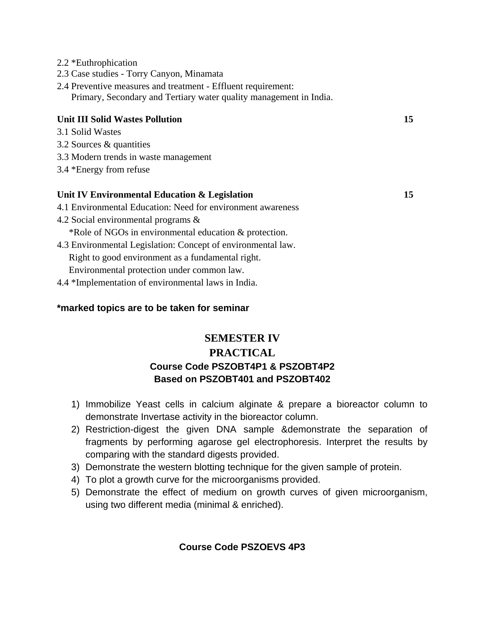- 2.2 \*Euthrophication
- 2.3 Case studies Torry Canyon, Minamata
- 2.4 Preventive measures and treatment Effluent requirement: Primary, Secondary and Tertiary water quality management in India.

#### **Unit III Solid Wastes Pollution 15**

- 3.1 Solid Wastes
- 3.2 Sources & quantities
- 3.3 Modern trends in waste management
- 3.4 \*Energy from refuse

#### **Unit IV Environmental Education & Legislation 15**

- 4.1 Environmental Education: Need for environment awareness
- 4.2 Social environmental programs & \*Role of NGOs in environmental education & protection.
- 4.3 Environmental Legislation: Concept of environmental law. Right to good environment as a fundamental right. Environmental protection under common law.
- 4.4 \*Implementation of environmental laws in India.

#### **\*marked topics are to be taken for seminar**

## **SEMESTER IV PRACTICAL Course Code PSZOBT4P1 & PSZOBT4P2 Based on PSZOBT401 and PSZOBT402**

- 1) Immobilize Yeast cells in calcium alginate & prepare a bioreactor column to demonstrate Invertase activity in the bioreactor column.
- 2) Restriction-digest the given DNA sample &demonstrate the separation of fragments by performing agarose gel electrophoresis. Interpret the results by comparing with the standard digests provided.
- 3) Demonstrate the western blotting technique for the given sample of protein.
- 4) To plot a growth curve for the microorganisms provided.
- 5) Demonstrate the effect of medium on growth curves of given microorganism, using two different media (minimal & enriched).

#### **Course Code PSZOEVS 4P3**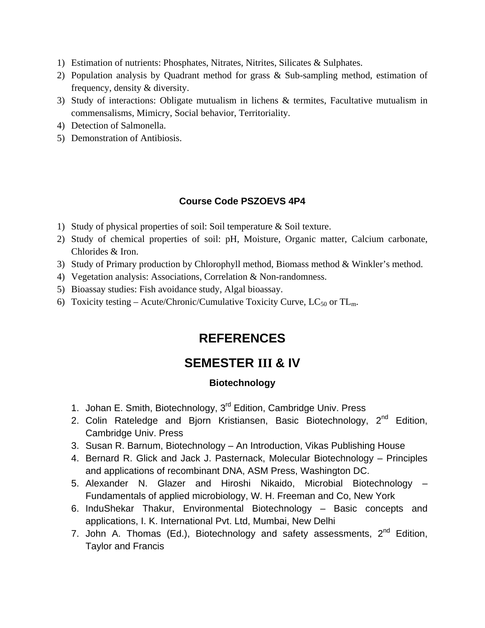- 1) Estimation of nutrients: Phosphates, Nitrates, Nitrites, Silicates & Sulphates.
- 2) Population analysis by Quadrant method for grass & Sub-sampling method, estimation of frequency, density & diversity.
- 3) Study of interactions: Obligate mutualism in lichens & termites, Facultative mutualism in commensalisms, Mimicry, Social behavior, Territoriality.
- 4) Detection of Salmonella.
- 5) Demonstration of Antibiosis.

#### **Course Code PSZOEVS 4P4**

- 1) Study of physical properties of soil: Soil temperature & Soil texture.
- 2) Study of chemical properties of soil: pH, Moisture, Organic matter, Calcium carbonate, Chlorides & Iron.
- 3) Study of Primary production by Chlorophyll method, Biomass method & Winkler's method.
- 4) Vegetation analysis: Associations, Correlation & Non-randomness.
- 5) Bioassay studies: Fish avoidance study, Algal bioassay.
- 6) Toxicity testing Acute/Chronic/Cumulative Toxicity Curve,  $LC_{50}$  or TL<sub>m</sub>.

## **REFERENCES**

## **SEMESTER III & IV**

#### **Biotechnology**

- 1. Johan E. Smith, Biotechnology, 3<sup>rd</sup> Edition, Cambridge Univ. Press
- 2. Colin Rateledge and Bjorn Kristiansen, Basic Biotechnology, 2<sup>nd</sup> Edition, Cambridge Univ. Press
- 3. Susan R. Barnum, Biotechnology An Introduction, Vikas Publishing House
- 4. Bernard R. Glick and Jack J. Pasternack, Molecular Biotechnology Principles and applications of recombinant DNA, ASM Press, Washington DC.
- 5. Alexander N. Glazer and Hiroshi Nikaido, Microbial Biotechnology Fundamentals of applied microbiology, W. H. Freeman and Co, New York
- 6. InduShekar Thakur, Environmental Biotechnology Basic concepts and applications, I. K. International Pvt. Ltd, Mumbai, New Delhi
- 7. John A. Thomas (Ed.), Biotechnology and safety assessments,  $2^{nd}$  Edition, Taylor and Francis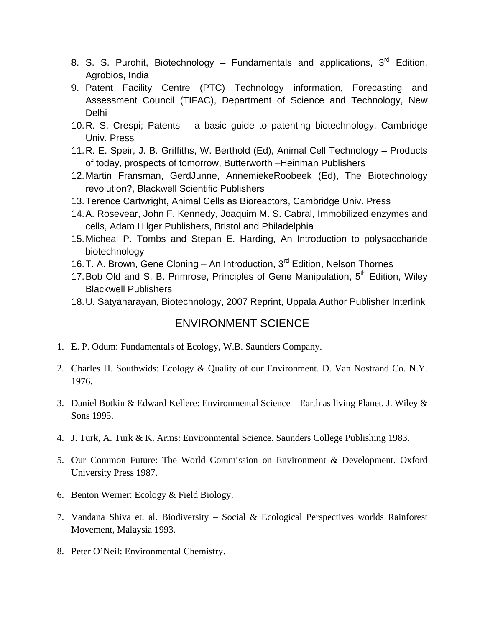- 8. S. S. Purohit, Biotechnology Fundamentals and applications,  $3<sup>rd</sup>$  Edition, Agrobios, India
- 9. Patent Facility Centre (PTC) Technology information, Forecasting and Assessment Council (TIFAC), Department of Science and Technology, New Delhi
- 10. R. S. Crespi; Patents a basic guide to patenting biotechnology, Cambridge Univ. Press
- 11. R. E. Speir, J. B. Griffiths, W. Berthold (Ed), Animal Cell Technology Products of today, prospects of tomorrow, Butterworth –Heinman Publishers
- 12. Martin Fransman, GerdJunne, AnnemiekeRoobeek (Ed), The Biotechnology revolution?, Blackwell Scientific Publishers
- 13. Terence Cartwright, Animal Cells as Bioreactors, Cambridge Univ. Press
- 14. A. Rosevear, John F. Kennedy, Joaquim M. S. Cabral, Immobilized enzymes and cells, Adam Hilger Publishers, Bristol and Philadelphia
- 15. Micheal P. Tombs and Stepan E. Harding, An Introduction to polysaccharide biotechnology
- 16. T. A. Brown, Gene Cloning An Introduction, 3<sup>rd</sup> Edition, Nelson Thornes
- 17. Bob Old and S. B. Primrose, Principles of Gene Manipulation, 5<sup>th</sup> Edition, Wiley Blackwell Publishers
- 18. U. Satyanarayan, Biotechnology, 2007 Reprint, Uppala Author Publisher Interlink

## ENVIRONMENT SCIENCE

- 1. E. P. Odum: Fundamentals of Ecology, W.B. Saunders Company.
- 2. Charles H. Southwids: Ecology & Quality of our Environment. D. Van Nostrand Co. N.Y. 1976.
- 3. Daniel Botkin & Edward Kellere: Environmental Science Earth as living Planet. J. Wiley & Sons 1995.
- 4. J. Turk, A. Turk & K. Arms: Environmental Science. Saunders College Publishing 1983.
- 5. Our Common Future: The World Commission on Environment & Development. Oxford University Press 1987.
- 6. Benton Werner: Ecology & Field Biology.
- 7. Vandana Shiva et. al. Biodiversity Social & Ecological Perspectives worlds Rainforest Movement, Malaysia 1993.
- 8. Peter O'Neil: Environmental Chemistry.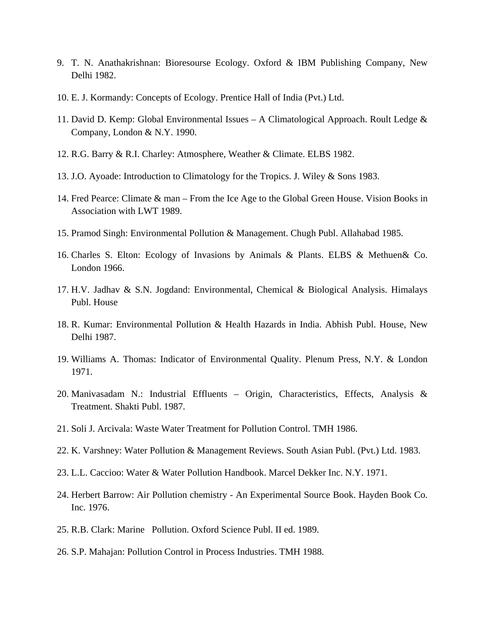- 9. T. N. Anathakrishnan: Bioresourse Ecology. Oxford & IBM Publishing Company, New Delhi 1982.
- 10. E. J. Kormandy: Concepts of Ecology. Prentice Hall of India (Pvt.) Ltd.
- 11. David D. Kemp: Global Environmental Issues A Climatological Approach. Roult Ledge & Company, London & N.Y. 1990.
- 12. R.G. Barry & R.I. Charley: Atmosphere, Weather & Climate. ELBS 1982.
- 13. J.O. Ayoade: Introduction to Climatology for the Tropics. J. Wiley & Sons 1983.
- 14. Fred Pearce: Climate & man From the Ice Age to the Global Green House. Vision Books in Association with LWT 1989.
- 15. Pramod Singh: Environmental Pollution & Management. Chugh Publ. Allahabad 1985.
- 16. Charles S. Elton: Ecology of Invasions by Animals & Plants. ELBS & Methuen& Co. London 1966.
- 17. H.V. Jadhav & S.N. Jogdand: Environmental, Chemical & Biological Analysis. Himalays Publ. House
- 18. R. Kumar: Environmental Pollution & Health Hazards in India. Abhish Publ. House, New Delhi 1987.
- 19. Williams A. Thomas: Indicator of Environmental Quality. Plenum Press, N.Y. & London 1971.
- 20. Manivasadam N.: Industrial Effluents Origin, Characteristics, Effects, Analysis & Treatment. Shakti Publ. 1987.
- 21. Soli J. Arcivala: Waste Water Treatment for Pollution Control. TMH 1986.
- 22. K. Varshney: Water Pollution & Management Reviews. South Asian Publ. (Pvt.) Ltd. 1983.
- 23. L.L. Caccioo: Water & Water Pollution Handbook. Marcel Dekker Inc. N.Y. 1971.
- 24. Herbert Barrow: Air Pollution chemistry An Experimental Source Book. Hayden Book Co. Inc. 1976.
- 25. R.B. Clark: Marine Pollution. Oxford Science Publ. II ed. 1989.
- 26. S.P. Mahajan: Pollution Control in Process Industries. TMH 1988.